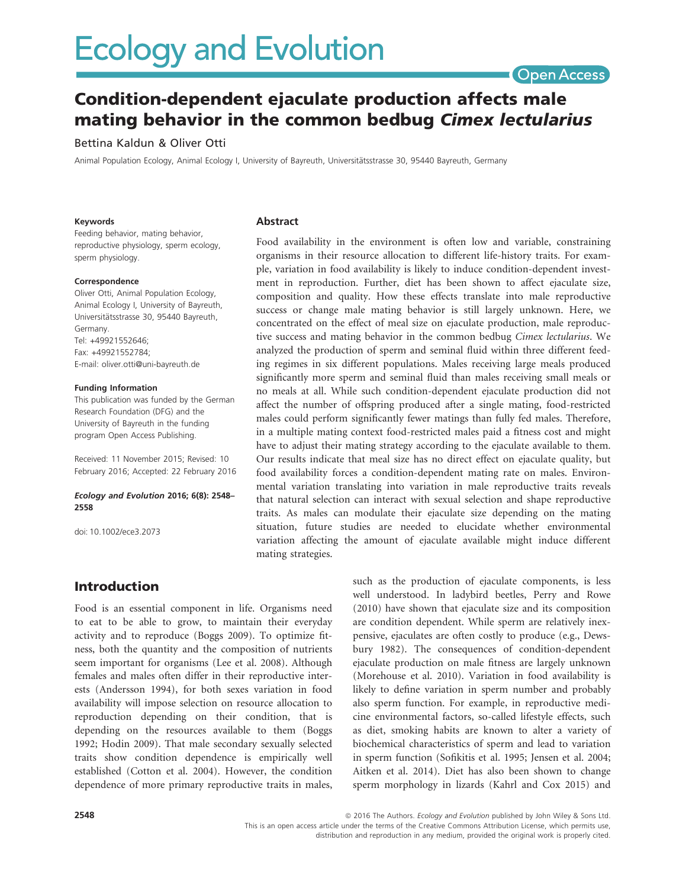# **Ecology and Evolution**

## **Open Access**

## Condition-dependent ejaculate production affects male mating behavior in the common bedbug Cimex lectularius

#### Bettina Kaldun & Oliver Otti

Animal Population Ecology, Animal Ecology I, University of Bayreuth, Universitätsstrasse 30, 95440 Bayreuth, Germany

#### Keywords

Feeding behavior, mating behavior, reproductive physiology, sperm ecology, sperm physiology.

#### Correspondence

Oliver Otti, Animal Population Ecology, Animal Ecology I, University of Bayreuth, Universitätsstrasse 30, 95440 Bayreuth, Germany. Tel: +49921552646; Fax: +49921552784; E-mail: oliver.otti@uni-bayreuth.de

#### Funding Information

This publication was funded by the German Research Foundation (DFG) and the University of Bayreuth in the funding program Open Access Publishing.

Received: 11 November 2015; Revised: 10 February 2016; Accepted: 22 February 2016

#### Ecology and Evolution 2016; 6(8): 2548– 2558

doi: 10.1002/ece3.2073

#### Abstract

Food availability in the environment is often low and variable, constraining organisms in their resource allocation to different life-history traits. For example, variation in food availability is likely to induce condition-dependent investment in reproduction. Further, diet has been shown to affect ejaculate size, composition and quality. How these effects translate into male reproductive success or change male mating behavior is still largely unknown. Here, we concentrated on the effect of meal size on ejaculate production, male reproductive success and mating behavior in the common bedbug *Cimex lectularius*. We analyzed the production of sperm and seminal fluid within three different feeding regimes in six different populations. Males receiving large meals produced significantly more sperm and seminal fluid than males receiving small meals or no meals at all. While such condition-dependent ejaculate production did not affect the number of offspring produced after a single mating, food-restricted males could perform significantly fewer matings than fully fed males. Therefore, in a multiple mating context food-restricted males paid a fitness cost and might have to adjust their mating strategy according to the ejaculate available to them. Our results indicate that meal size has no direct effect on ejaculate quality, but food availability forces a condition-dependent mating rate on males. Environmental variation translating into variation in male reproductive traits reveals that natural selection can interact with sexual selection and shape reproductive traits. As males can modulate their ejaculate size depending on the mating situation, future studies are needed to elucidate whether environmental variation affecting the amount of ejaculate available might induce different mating strategies.

## Introduction

Food is an essential component in life. Organisms need to eat to be able to grow, to maintain their everyday activity and to reproduce (Boggs 2009). To optimize fitness, both the quantity and the composition of nutrients seem important for organisms (Lee et al. 2008). Although females and males often differ in their reproductive interests (Andersson 1994), for both sexes variation in food availability will impose selection on resource allocation to reproduction depending on their condition, that is depending on the resources available to them (Boggs 1992; Hodin 2009). That male secondary sexually selected traits show condition dependence is empirically well established (Cotton et al. 2004). However, the condition dependence of more primary reproductive traits in males, such as the production of ejaculate components, is less well understood. In ladybird beetles, Perry and Rowe (2010) have shown that ejaculate size and its composition are condition dependent. While sperm are relatively inexpensive, ejaculates are often costly to produce (e.g., Dewsbury 1982). The consequences of condition-dependent ejaculate production on male fitness are largely unknown (Morehouse et al. 2010). Variation in food availability is likely to define variation in sperm number and probably also sperm function. For example, in reproductive medicine environmental factors, so-called lifestyle effects, such as diet, smoking habits are known to alter a variety of biochemical characteristics of sperm and lead to variation in sperm function (Sofikitis et al. 1995; Jensen et al. 2004; Aitken et al. 2014). Diet has also been shown to change sperm morphology in lizards (Kahrl and Cox 2015) and

**2548 2548 a** 2016 The Authors. Ecology and Evolution published by John Wiley & Sons Ltd. This is an open access article under the terms of the Creative Commons Attribution License, which permits use, distribution and reproduction in any medium, provided the original work is properly cited.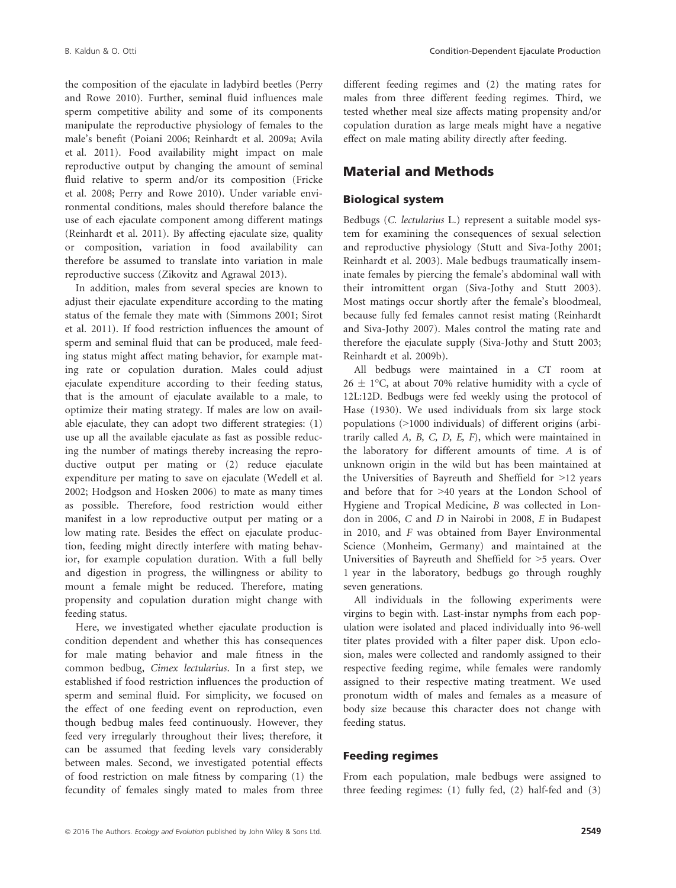the composition of the ejaculate in ladybird beetles (Perry and Rowe 2010). Further, seminal fluid influences male sperm competitive ability and some of its components manipulate the reproductive physiology of females to the male's benefit (Poiani 2006; Reinhardt et al. 2009a; Avila et al. 2011). Food availability might impact on male reproductive output by changing the amount of seminal fluid relative to sperm and/or its composition (Fricke et al. 2008; Perry and Rowe 2010). Under variable environmental conditions, males should therefore balance the use of each ejaculate component among different matings (Reinhardt et al. 2011). By affecting ejaculate size, quality or composition, variation in food availability can therefore be assumed to translate into variation in male reproductive success (Zikovitz and Agrawal 2013).

In addition, males from several species are known to adjust their ejaculate expenditure according to the mating status of the female they mate with (Simmons 2001; Sirot et al. 2011). If food restriction influences the amount of sperm and seminal fluid that can be produced, male feeding status might affect mating behavior, for example mating rate or copulation duration. Males could adjust ejaculate expenditure according to their feeding status, that is the amount of ejaculate available to a male, to optimize their mating strategy. If males are low on available ejaculate, they can adopt two different strategies: (1) use up all the available ejaculate as fast as possible reducing the number of matings thereby increasing the reproductive output per mating or (2) reduce ejaculate expenditure per mating to save on ejaculate (Wedell et al. 2002; Hodgson and Hosken 2006) to mate as many times as possible. Therefore, food restriction would either manifest in a low reproductive output per mating or a low mating rate. Besides the effect on ejaculate production, feeding might directly interfere with mating behavior, for example copulation duration. With a full belly and digestion in progress, the willingness or ability to mount a female might be reduced. Therefore, mating propensity and copulation duration might change with feeding status.

Here, we investigated whether ejaculate production is condition dependent and whether this has consequences for male mating behavior and male fitness in the common bedbug, Cimex lectularius. In a first step, we established if food restriction influences the production of sperm and seminal fluid. For simplicity, we focused on the effect of one feeding event on reproduction, even though bedbug males feed continuously. However, they feed very irregularly throughout their lives; therefore, it can be assumed that feeding levels vary considerably between males. Second, we investigated potential effects of food restriction on male fitness by comparing (1) the fecundity of females singly mated to males from three different feeding regimes and (2) the mating rates for males from three different feeding regimes. Third, we tested whether meal size affects mating propensity and/or copulation duration as large meals might have a negative effect on male mating ability directly after feeding.

## Material and Methods

#### Biological system

Bedbugs (C. lectularius L.) represent a suitable model system for examining the consequences of sexual selection and reproductive physiology (Stutt and Siva-Jothy 2001; Reinhardt et al. 2003). Male bedbugs traumatically inseminate females by piercing the female's abdominal wall with their intromittent organ (Siva-Jothy and Stutt 2003). Most matings occur shortly after the female's bloodmeal, because fully fed females cannot resist mating (Reinhardt and Siva-Jothy 2007). Males control the mating rate and therefore the ejaculate supply (Siva-Jothy and Stutt 2003; Reinhardt et al. 2009b).

All bedbugs were maintained in a CT room at  $26 \pm 1$ °C, at about 70% relative humidity with a cycle of 12L:12D. Bedbugs were fed weekly using the protocol of Hase (1930). We used individuals from six large stock populations (>1000 individuals) of different origins (arbitrarily called A, B, C, D, E, F), which were maintained in the laboratory for different amounts of time. A is of unknown origin in the wild but has been maintained at the Universities of Bayreuth and Sheffield for >12 years and before that for >40 years at the London School of Hygiene and Tropical Medicine, B was collected in London in 2006, C and D in Nairobi in 2008, E in Budapest in 2010, and F was obtained from Bayer Environmental Science (Monheim, Germany) and maintained at the Universities of Bayreuth and Sheffield for >5 years. Over 1 year in the laboratory, bedbugs go through roughly seven generations.

All individuals in the following experiments were virgins to begin with. Last-instar nymphs from each population were isolated and placed individually into 96-well titer plates provided with a filter paper disk. Upon eclosion, males were collected and randomly assigned to their respective feeding regime, while females were randomly assigned to their respective mating treatment. We used pronotum width of males and females as a measure of body size because this character does not change with feeding status.

#### Feeding regimes

From each population, male bedbugs were assigned to three feeding regimes: (1) fully fed, (2) half-fed and (3)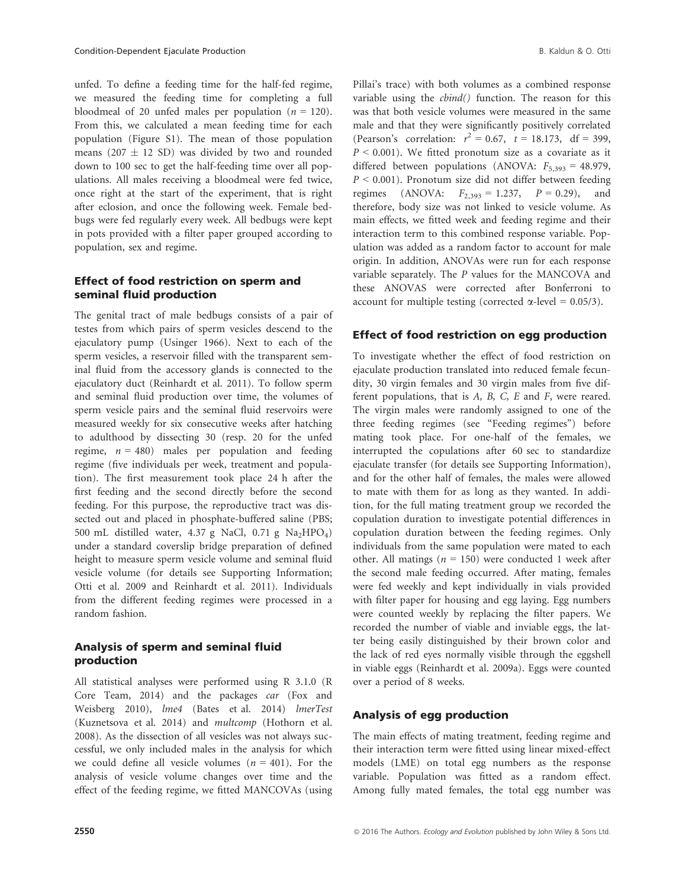unfed. To define a feeding time for the half-fed regime, we measured the feeding time for completing a full bloodmeal of 20 unfed males per population ( $n = 120$ ). From this, we calculated a mean feeding time for each population (Figure S1). The mean of those population means (207  $\pm$  12 SD) was divided by two and rounded down to 100 sec to get the half-feeding time over all populations. All males receiving a bloodmeal were fed twice, once right at the start of the experiment, that is right after eclosion, and once the following week. Female bedbugs were fed regularly every week. All bedbugs were kept in pots provided with a filter paper grouped according to population, sex and regime.

#### Effect of food restriction on sperm and seminal fluid production

The genital tract of male bedbugs consists of a pair of testes from which pairs of sperm vesicles descend to the ejaculatory pump (Usinger 1966). Next to each of the sperm vesicles, a reservoir filled with the transparent seminal fluid from the accessory glands is connected to the ejaculatory duct (Reinhardt et al. 2011). To follow sperm and seminal fluid production over time, the volumes of sperm vesicle pairs and the seminal fluid reservoirs were measured weekly for six consecutive weeks after hatching to adulthood by dissecting 30 (resp. 20 for the unfed regime,  $n = 480$ ) males per population and feeding regime (five individuals per week, treatment and population). The first measurement took place 24 h after the first feeding and the second directly before the second feeding. For this purpose, the reproductive tract was dissected out and placed in phosphate-buffered saline (PBS; 500 mL distilled water, 4.37 g NaCl, 0.71 g Na<sub>2</sub>HPO<sub>4</sub>) under a standard coverslip bridge preparation of defined height to measure sperm vesicle volume and seminal fluid vesicle volume (for details see Supporting Information; Otti et al. 2009 and Reinhardt et al. 2011). Individuals from the different feeding regimes were processed in a random fashion.

#### Analysis of sperm and seminal fluid production

All statistical analyses were performed using R 3.1.0 (R Core Team, 2014) and the packages car (Fox and Weisberg 2010), lme4 (Bates et al. 2014) lmerTest (Kuznetsova et al. 2014) and multcomp (Hothorn et al. 2008). As the dissection of all vesicles was not always successful, we only included males in the analysis for which we could define all vesicle volumes ( $n = 401$ ). For the analysis of vesicle volume changes over time and the effect of the feeding regime, we fitted MANCOVAs (using Pillai's trace) with both volumes as a combined response variable using the *cbind*() function. The reason for this was that both vesicle volumes were measured in the same male and that they were significantly positively correlated (Pearson's correlation:  $r^2 = 0.67$ ,  $t = 18.173$ , df = 399,  $P < 0.001$ ). We fitted pronotum size as a covariate as it differed between populations (ANOVA:  $F_{5,393} = 48.979$ ,  $P < 0.001$ ). Pronotum size did not differ between feeding regimes (ANOVA:  $F_{2,393} = 1.237$ ,  $P = 0.29$ ), and therefore, body size was not linked to vesicle volume. As main effects, we fitted week and feeding regime and their interaction term to this combined response variable. Population was added as a random factor to account for male origin. In addition, ANOVAs were run for each response variable separately. The P values for the MANCOVA and these ANOVAS were corrected after Bonferroni to account for multiple testing (corrected  $\alpha$ -level = 0.05/3).

#### Effect of food restriction on egg production

To investigate whether the effect of food restriction on ejaculate production translated into reduced female fecundity, 30 virgin females and 30 virgin males from five different populations, that is A, B, C, E and F, were reared. The virgin males were randomly assigned to one of the three feeding regimes (see "Feeding regimes") before mating took place. For one-half of the females, we interrupted the copulations after 60 sec to standardize ejaculate transfer (for details see Supporting Information), and for the other half of females, the males were allowed to mate with them for as long as they wanted. In addition, for the full mating treatment group we recorded the copulation duration to investigate potential differences in copulation duration between the feeding regimes. Only individuals from the same population were mated to each other. All matings ( $n = 150$ ) were conducted 1 week after the second male feeding occurred. After mating, females were fed weekly and kept individually in vials provided with filter paper for housing and egg laying. Egg numbers were counted weekly by replacing the filter papers. We recorded the number of viable and inviable eggs, the latter being easily distinguished by their brown color and the lack of red eyes normally visible through the eggshell in viable eggs (Reinhardt et al. 2009a). Eggs were counted over a period of 8 weeks.

#### Analysis of egg production

The main effects of mating treatment, feeding regime and their interaction term were fitted using linear mixed-effect models (LME) on total egg numbers as the response variable. Population was fitted as a random effect. Among fully mated females, the total egg number was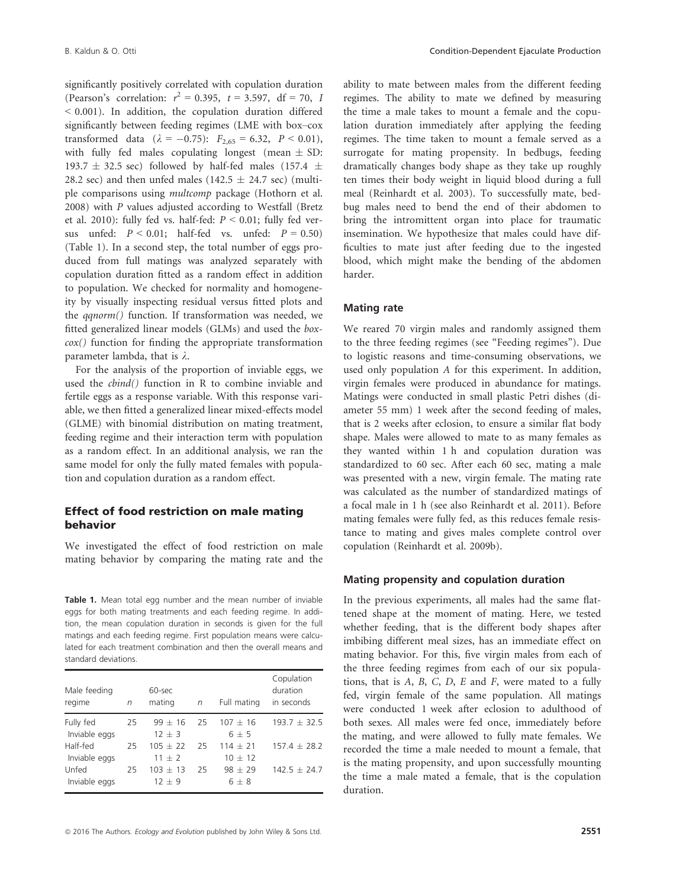significantly positively correlated with copulation duration (Pearson's correlation:  $r^2 = 0.395$ ,  $t = 3.597$ , df = 70, 1 < 0.001). In addition, the copulation duration differed significantly between feeding regimes (LME with box–cox transformed data ( $\lambda = -0.75$ ):  $F_{2,65} = 6.32$ ,  $P < 0.01$ ), with fully fed males copulating longest (mean  $\pm$  SD: 193.7  $\pm$  32.5 sec) followed by half-fed males (157.4  $\pm$ 28.2 sec) and then unfed males (142.5  $\pm$  24.7 sec) (multiple comparisons using multcomp package (Hothorn et al. 2008) with P values adjusted according to Westfall (Bretz et al. 2010): fully fed vs. half-fed:  $P < 0.01$ ; fully fed versus unfed:  $P < 0.01$ ; half-fed vs. unfed:  $P = 0.50$ ) (Table 1). In a second step, the total number of eggs produced from full matings was analyzed separately with copulation duration fitted as a random effect in addition to population. We checked for normality and homogeneity by visually inspecting residual versus fitted plots and the qqnorm() function. If transformation was needed, we fitted generalized linear models (GLMs) and used the box- $\cos(\theta)$  function for finding the appropriate transformation parameter lambda, that is  $\lambda$ .

For the analysis of the proportion of inviable eggs, we used the cbind() function in R to combine inviable and fertile eggs as a response variable. With this response variable, we then fitted a generalized linear mixed-effects model (GLME) with binomial distribution on mating treatment, feeding regime and their interaction term with population as a random effect. In an additional analysis, we ran the same model for only the fully mated females with population and copulation duration as a random effect.

#### Effect of food restriction on male mating behavior

We investigated the effect of food restriction on male mating behavior by comparing the mating rate and the

Table 1. Mean total egg number and the mean number of inviable eggs for both mating treatments and each feeding regime. In addition, the mean copulation duration in seconds is given for the full matings and each feeding regime. First population means were calculated for each treatment combination and then the overall means and standard deviations.

| Male feeding<br>regime     | n  | 60-sec<br>mating        | $\sqrt{n}$ | Full mating             | Copulation<br>duration<br>in seconds |
|----------------------------|----|-------------------------|------------|-------------------------|--------------------------------------|
| Fully fed<br>Inviable eggs | 25 | $99 \pm 16$<br>$12 + 3$ | 25         | $107 + 16$<br>$6 + 5$   | $193.7 + 32.5$                       |
| Half-fed<br>Inviable eggs  | 25 | $105 + 22$<br>$11 + 2$  | 25         | $114 + 21$<br>$10 + 12$ | $157.4 + 28.2$                       |
| Unfed<br>Inviable eggs     | 25 | $103 + 13$<br>$12 + 9$  | 25         | $98 + 29$<br>$6 + 8$    | $142.5 + 24.7$                       |
|                            |    |                         |            |                         |                                      |

ability to mate between males from the different feeding regimes. The ability to mate we defined by measuring the time a male takes to mount a female and the copulation duration immediately after applying the feeding regimes. The time taken to mount a female served as a surrogate for mating propensity. In bedbugs, feeding dramatically changes body shape as they take up roughly ten times their body weight in liquid blood during a full meal (Reinhardt et al. 2003). To successfully mate, bedbug males need to bend the end of their abdomen to bring the intromittent organ into place for traumatic insemination. We hypothesize that males could have difficulties to mate just after feeding due to the ingested blood, which might make the bending of the abdomen harder.

#### Mating rate

We reared 70 virgin males and randomly assigned them to the three feeding regimes (see "Feeding regimes"). Due to logistic reasons and time-consuming observations, we used only population A for this experiment. In addition, virgin females were produced in abundance for matings. Matings were conducted in small plastic Petri dishes (diameter 55 mm) 1 week after the second feeding of males, that is 2 weeks after eclosion, to ensure a similar flat body shape. Males were allowed to mate to as many females as they wanted within 1 h and copulation duration was standardized to 60 sec. After each 60 sec, mating a male was presented with a new, virgin female. The mating rate was calculated as the number of standardized matings of a focal male in 1 h (see also Reinhardt et al. 2011). Before mating females were fully fed, as this reduces female resistance to mating and gives males complete control over copulation (Reinhardt et al. 2009b).

#### Mating propensity and copulation duration

In the previous experiments, all males had the same flattened shape at the moment of mating. Here, we tested whether feeding, that is the different body shapes after imbibing different meal sizes, has an immediate effect on mating behavior. For this, five virgin males from each of the three feeding regimes from each of our six populations, that is  $A$ ,  $B$ ,  $C$ ,  $D$ ,  $E$  and  $F$ , were mated to a fully fed, virgin female of the same population. All matings were conducted 1 week after eclosion to adulthood of both sexes. All males were fed once, immediately before the mating, and were allowed to fully mate females. We recorded the time a male needed to mount a female, that is the mating propensity, and upon successfully mounting the time a male mated a female, that is the copulation duration.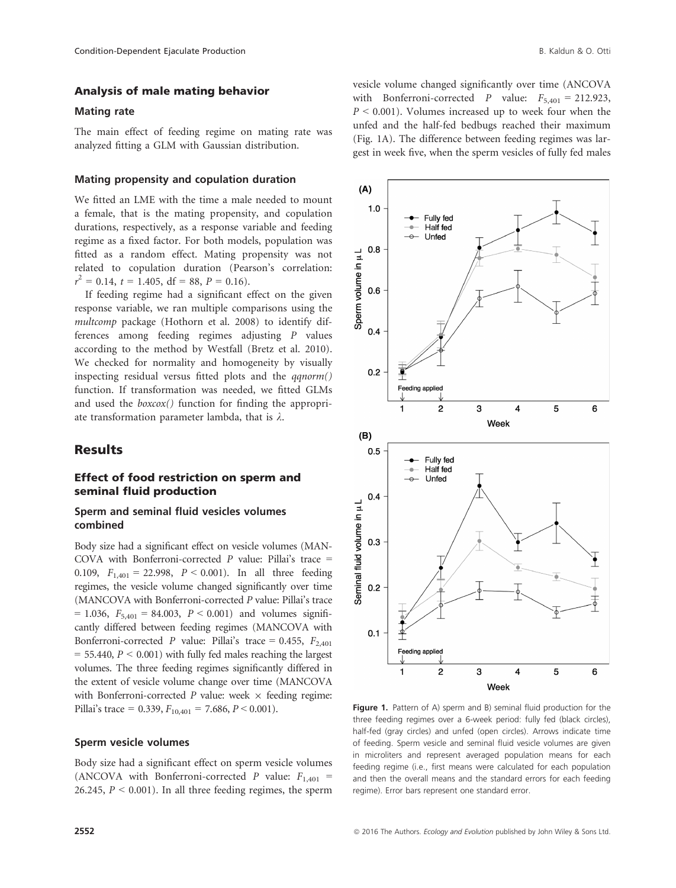#### Mating rate

The main effect of feeding regime on mating rate was analyzed fitting a GLM with Gaussian distribution.

#### Mating propensity and copulation duration

We fitted an LME with the time a male needed to mount a female, that is the mating propensity, and copulation durations, respectively, as a response variable and feeding regime as a fixed factor. For both models, population was fitted as a random effect. Mating propensity was not related to copulation duration (Pearson's correlation:  $r^2 = 0.14$ ,  $t = 1.405$ , df = 88,  $P = 0.16$ ).

If feeding regime had a significant effect on the given response variable, we ran multiple comparisons using the multcomp package (Hothorn et al. 2008) to identify differences among feeding regimes adjusting P values according to the method by Westfall (Bretz et al. 2010). We checked for normality and homogeneity by visually inspecting residual versus fitted plots and the  $qqnorm()$ function. If transformation was needed, we fitted GLMs and used the boxcox() function for finding the appropriate transformation parameter lambda, that is  $\lambda$ .

#### **Results**

#### Effect of food restriction on sperm and seminal fluid production

#### Sperm and seminal fluid vesicles volumes combined

Body size had a significant effect on vesicle volumes (MAN-COVA with Bonferroni-corrected  $P$  value: Pillai's trace = 0.109,  $F_{1,401} = 22.998$ ,  $P < 0.001$ ). In all three feeding regimes, the vesicle volume changed significantly over time (MANCOVA with Bonferroni-corrected P value: Pillai's trace  $= 1.036$ ,  $F_{5,401} = 84.003$ ,  $P < 0.001$ ) and volumes significantly differed between feeding regimes (MANCOVA with Bonferroni-corrected P value: Pillai's trace = 0.455,  $F_{2,401}$  $= 55.440, P < 0.001$ ) with fully fed males reaching the largest volumes. The three feeding regimes significantly differed in the extent of vesicle volume change over time (MANCOVA with Bonferroni-corrected  $P$  value: week  $\times$  feeding regime: Pillai's trace = 0.339,  $F_{10,401}$  = 7.686,  $P \le 0.001$ ).

#### Sperm vesicle volumes

Body size had a significant effect on sperm vesicle volumes (ANCOVA with Bonferroni-corrected P value:  $F_{1,401}$  = 26.245,  $P < 0.001$ ). In all three feeding regimes, the sperm vesicle volume changed significantly over time (ANCOVA with Bonferroni-corrected P value:  $F_{5,401} = 212.923$ ,  $P \leq 0.001$ ). Volumes increased up to week four when the unfed and the half-fed bedbugs reached their maximum (Fig. 1A). The difference between feeding regimes was largest in week five, when the sperm vesicles of fully fed males



Figure 1. Pattern of A) sperm and B) seminal fluid production for the three feeding regimes over a 6-week period: fully fed (black circles), half-fed (gray circles) and unfed (open circles). Arrows indicate time of feeding. Sperm vesicle and seminal fluid vesicle volumes are given in microliters and represent averaged population means for each feeding regime (i.e., first means were calculated for each population and then the overall means and the standard errors for each feeding regime). Error bars represent one standard error.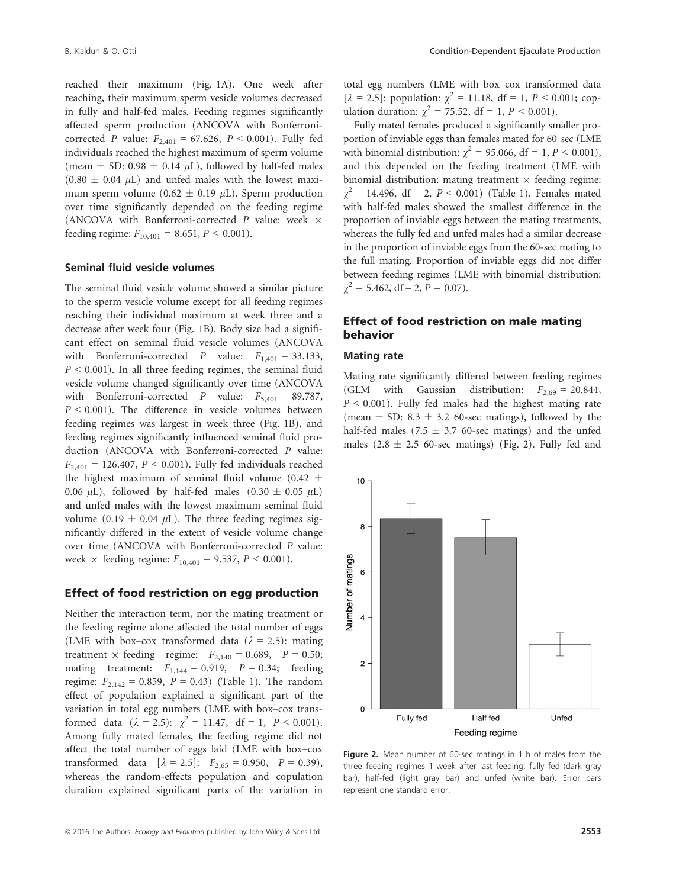reached their maximum (Fig. 1A). One week after reaching, their maximum sperm vesicle volumes decreased in fully and half-fed males. Feeding regimes significantly affected sperm production (ANCOVA with Bonferronicorrected *P* value:  $F_{2,401} = 67.626$ ,  $P < 0.001$ ). Fully fed individuals reached the highest maximum of sperm volume (mean  $\pm$  SD: 0.98  $\pm$  0.14  $\mu$ L), followed by half-fed males  $(0.80 \pm 0.04 \mu L)$  and unfed males with the lowest maximum sperm volume (0.62  $\pm$  0.19  $\mu$ L). Sperm production over time significantly depended on the feeding regime (ANCOVA with Bonferroni-corrected  $P$  value: week  $\times$ feeding regime:  $F_{10,401} = 8.651, P \le 0.001$ .

#### Seminal fluid vesicle volumes

The seminal fluid vesicle volume showed a similar picture to the sperm vesicle volume except for all feeding regimes reaching their individual maximum at week three and a decrease after week four (Fig. 1B). Body size had a significant effect on seminal fluid vesicle volumes (ANCOVA with Bonferroni-corrected P value:  $F_{1,401} = 33.133$ ,  $P < 0.001$ ). In all three feeding regimes, the seminal fluid vesicle volume changed significantly over time (ANCOVA with Bonferroni-corrected *P* value:  $F_{5,401} = 89.787$ ,  $P < 0.001$ ). The difference in vesicle volumes between feeding regimes was largest in week three (Fig. 1B), and feeding regimes significantly influenced seminal fluid production (ANCOVA with Bonferroni-corrected P value:  $F_{2,401} = 126.407, P \le 0.001$ . Fully fed individuals reached the highest maximum of seminal fluid volume (0.42  $\pm$ 0.06  $\mu$ L), followed by half-fed males (0.30  $\pm$  0.05  $\mu$ L) and unfed males with the lowest maximum seminal fluid volume (0.19  $\pm$  0.04  $\mu$ L). The three feeding regimes significantly differed in the extent of vesicle volume change over time (ANCOVA with Bonferroni-corrected P value: week  $\times$  feeding regime:  $F_{10,401} = 9.537, P \le 0.001$ .

#### Effect of food restriction on egg production

Neither the interaction term, nor the mating treatment or the feeding regime alone affected the total number of eggs (LME with box–cox transformed data ( $\lambda$  = 2.5): mating treatment  $\times$  feeding regime:  $F_{2,140} = 0.689$ ,  $P = 0.50$ ; mating treatment:  $F_{1,144} = 0.919$ ,  $P = 0.34$ ; feeding regime:  $F_{2,142} = 0.859$ ,  $P = 0.43$ ) (Table 1). The random effect of population explained a significant part of the variation in total egg numbers (LME with box–cox transformed data ( $\lambda = 2.5$ ):  $\chi^2 = 11.47$ , df = 1, P < 0.001). Among fully mated females, the feeding regime did not affect the total number of eggs laid (LME with box–cox transformed data  $[\lambda = 2.5]$ :  $F_{2,65} = 0.950$ ,  $P = 0.39$ ), whereas the random-effects population and copulation duration explained significant parts of the variation in total egg numbers (LME with box–cox transformed data  $[\lambda = 2.5]$ : population:  $\gamma^2 = 11.18$ , df = 1, P < 0.001; copulation duration:  $\gamma^2 = 75.52$ , df = 1, P < 0.001).

Fully mated females produced a significantly smaller proportion of inviable eggs than females mated for 60 sec (LME with binomial distribution:  $\chi^2 = 95.066$ , df = 1, P < 0.001), and this depended on the feeding treatment (LME with binomial distribution: mating treatment  $\times$  feeding regime:  $\chi^2$  = 14.496, df = 2, *P* < 0.001) (Table 1). Females mated with half-fed males showed the smallest difference in the proportion of inviable eggs between the mating treatments, whereas the fully fed and unfed males had a similar decrease in the proportion of inviable eggs from the 60-sec mating to the full mating. Proportion of inviable eggs did not differ between feeding regimes (LME with binomial distribution:  $\chi^2 = 5.462$ , df = 2, P = 0.07).

#### Effect of food restriction on male mating behavior

#### Mating rate

Mating rate significantly differed between feeding regimes (GLM with Gaussian distribution:  $F_{2,69} = 20.844$ ,  $P < 0.001$ ). Fully fed males had the highest mating rate (mean  $\pm$  SD: 8.3  $\pm$  3.2 60-sec matings), followed by the half-fed males (7.5  $\pm$  3.7 60-sec matings) and the unfed males  $(2.8 \pm 2.5 \, 60\text{-sec} \, \text{matings})$  (Fig. 2). Fully fed and



Figure 2. Mean number of 60-sec matings in 1 h of males from the three feeding regimes 1 week after last feeding: fully fed (dark gray bar), half-fed (light gray bar) and unfed (white bar). Error bars represent one standard error.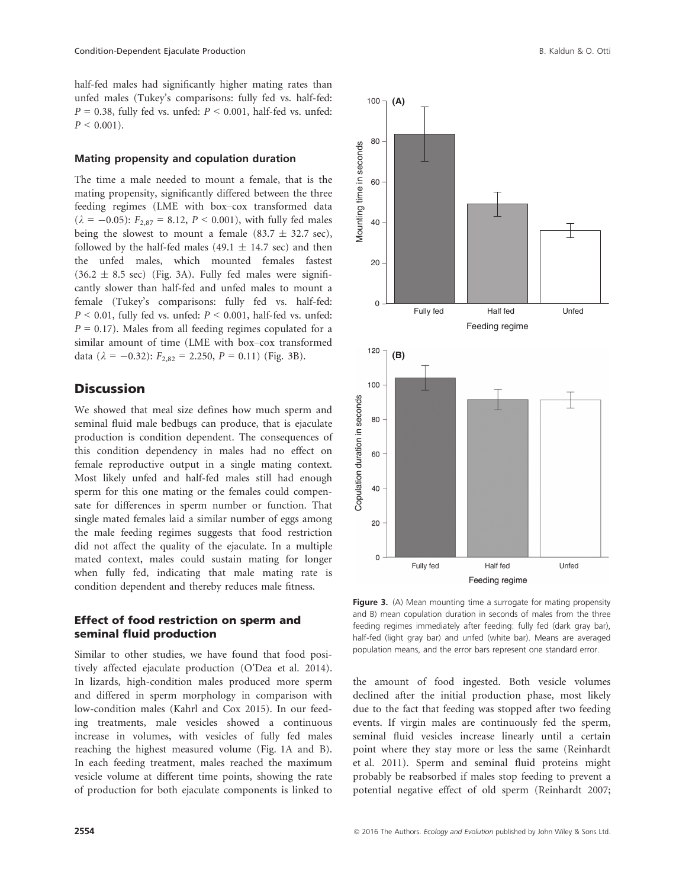half-fed males had significantly higher mating rates than unfed males (Tukey's comparisons: fully fed vs. half-fed:  $P = 0.38$ , fully fed vs. unfed:  $P \le 0.001$ , half-fed vs. unfed:  $P < 0.001$ ).

#### Mating propensity and copulation duration

The time a male needed to mount a female, that is the mating propensity, significantly differed between the three feeding regimes (LME with box–cox transformed data  $(\lambda = -0.05)$ :  $F_{2.87} = 8.12$ ,  $P < 0.001$ ), with fully fed males being the slowest to mount a female (83.7  $\pm$  32.7 sec), followed by the half-fed males (49.1  $\pm$  14.7 sec) and then the unfed males, which mounted females fastest  $(36.2 \pm 8.5 \text{ sec})$  (Fig. 3A). Fully fed males were significantly slower than half-fed and unfed males to mount a female (Tukey's comparisons: fully fed vs. half-fed:  $P < 0.01$ , fully fed vs. unfed:  $P < 0.001$ , half-fed vs. unfed:  $P = 0.17$ ). Males from all feeding regimes copulated for a similar amount of time (LME with box–cox transformed data ( $\lambda = -0.32$ ):  $F_{2,82} = 2.250$ ,  $P = 0.11$ ) (Fig. 3B).

## **Discussion**

We showed that meal size defines how much sperm and seminal fluid male bedbugs can produce, that is ejaculate production is condition dependent. The consequences of this condition dependency in males had no effect on female reproductive output in a single mating context. Most likely unfed and half-fed males still had enough sperm for this one mating or the females could compensate for differences in sperm number or function. That single mated females laid a similar number of eggs among the male feeding regimes suggests that food restriction did not affect the quality of the ejaculate. In a multiple mated context, males could sustain mating for longer when fully fed, indicating that male mating rate is condition dependent and thereby reduces male fitness.

### Effect of food restriction on sperm and seminal fluid production

Similar to other studies, we have found that food positively affected ejaculate production (O'Dea et al. 2014). In lizards, high-condition males produced more sperm and differed in sperm morphology in comparison with low-condition males (Kahrl and Cox 2015). In our feeding treatments, male vesicles showed a continuous increase in volumes, with vesicles of fully fed males reaching the highest measured volume (Fig. 1A and B). In each feeding treatment, males reached the maximum vesicle volume at different time points, showing the rate of production for both ejaculate components is linked to



Figure 3. (A) Mean mounting time a surrogate for mating propensity and B) mean copulation duration in seconds of males from the three feeding regimes immediately after feeding: fully fed (dark gray bar), half-fed (light gray bar) and unfed (white bar). Means are averaged population means, and the error bars represent one standard error.

the amount of food ingested. Both vesicle volumes declined after the initial production phase, most likely due to the fact that feeding was stopped after two feeding events. If virgin males are continuously fed the sperm, seminal fluid vesicles increase linearly until a certain point where they stay more or less the same (Reinhardt et al. 2011). Sperm and seminal fluid proteins might probably be reabsorbed if males stop feeding to prevent a potential negative effect of old sperm (Reinhardt 2007;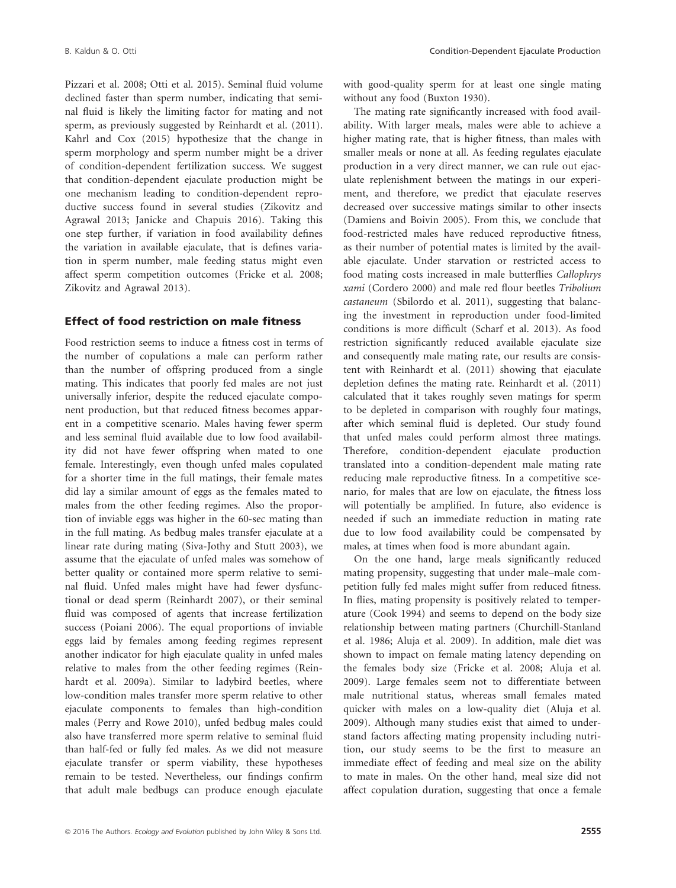Pizzari et al. 2008; Otti et al. 2015). Seminal fluid volume declined faster than sperm number, indicating that seminal fluid is likely the limiting factor for mating and not sperm, as previously suggested by Reinhardt et al. (2011). Kahrl and Cox (2015) hypothesize that the change in sperm morphology and sperm number might be a driver of condition-dependent fertilization success. We suggest that condition-dependent ejaculate production might be one mechanism leading to condition-dependent reproductive success found in several studies (Zikovitz and Agrawal 2013; Janicke and Chapuis 2016). Taking this one step further, if variation in food availability defines the variation in available ejaculate, that is defines variation in sperm number, male feeding status might even affect sperm competition outcomes (Fricke et al. 2008; Zikovitz and Agrawal 2013).

#### Effect of food restriction on male fitness

Food restriction seems to induce a fitness cost in terms of the number of copulations a male can perform rather than the number of offspring produced from a single mating. This indicates that poorly fed males are not just universally inferior, despite the reduced ejaculate component production, but that reduced fitness becomes apparent in a competitive scenario. Males having fewer sperm and less seminal fluid available due to low food availability did not have fewer offspring when mated to one female. Interestingly, even though unfed males copulated for a shorter time in the full matings, their female mates did lay a similar amount of eggs as the females mated to males from the other feeding regimes. Also the proportion of inviable eggs was higher in the 60-sec mating than in the full mating. As bedbug males transfer ejaculate at a linear rate during mating (Siva-Jothy and Stutt 2003), we assume that the ejaculate of unfed males was somehow of better quality or contained more sperm relative to seminal fluid. Unfed males might have had fewer dysfunctional or dead sperm (Reinhardt 2007), or their seminal fluid was composed of agents that increase fertilization success (Poiani 2006). The equal proportions of inviable eggs laid by females among feeding regimes represent another indicator for high ejaculate quality in unfed males relative to males from the other feeding regimes (Reinhardt et al. 2009a). Similar to ladybird beetles, where low-condition males transfer more sperm relative to other ejaculate components to females than high-condition males (Perry and Rowe 2010), unfed bedbug males could also have transferred more sperm relative to seminal fluid than half-fed or fully fed males. As we did not measure ejaculate transfer or sperm viability, these hypotheses remain to be tested. Nevertheless, our findings confirm that adult male bedbugs can produce enough ejaculate with good-quality sperm for at least one single mating without any food (Buxton 1930).

The mating rate significantly increased with food availability. With larger meals, males were able to achieve a higher mating rate, that is higher fitness, than males with smaller meals or none at all. As feeding regulates ejaculate production in a very direct manner, we can rule out ejaculate replenishment between the matings in our experiment, and therefore, we predict that ejaculate reserves decreased over successive matings similar to other insects (Damiens and Boivin 2005). From this, we conclude that food-restricted males have reduced reproductive fitness, as their number of potential mates is limited by the available ejaculate. Under starvation or restricted access to food mating costs increased in male butterflies Callophrys xami (Cordero 2000) and male red flour beetles Tribolium castaneum (Sbilordo et al. 2011), suggesting that balancing the investment in reproduction under food-limited conditions is more difficult (Scharf et al. 2013). As food restriction significantly reduced available ejaculate size and consequently male mating rate, our results are consistent with Reinhardt et al. (2011) showing that ejaculate depletion defines the mating rate. Reinhardt et al. (2011) calculated that it takes roughly seven matings for sperm to be depleted in comparison with roughly four matings, after which seminal fluid is depleted. Our study found that unfed males could perform almost three matings. Therefore, condition-dependent ejaculate production translated into a condition-dependent male mating rate reducing male reproductive fitness. In a competitive scenario, for males that are low on ejaculate, the fitness loss will potentially be amplified. In future, also evidence is needed if such an immediate reduction in mating rate due to low food availability could be compensated by males, at times when food is more abundant again.

On the one hand, large meals significantly reduced mating propensity, suggesting that under male–male competition fully fed males might suffer from reduced fitness. In flies, mating propensity is positively related to temperature (Cook 1994) and seems to depend on the body size relationship between mating partners (Churchill-Stanland et al. 1986; Aluja et al. 2009). In addition, male diet was shown to impact on female mating latency depending on the females body size (Fricke et al. 2008; Aluja et al. 2009). Large females seem not to differentiate between male nutritional status, whereas small females mated quicker with males on a low-quality diet (Aluja et al. 2009). Although many studies exist that aimed to understand factors affecting mating propensity including nutrition, our study seems to be the first to measure an immediate effect of feeding and meal size on the ability to mate in males. On the other hand, meal size did not affect copulation duration, suggesting that once a female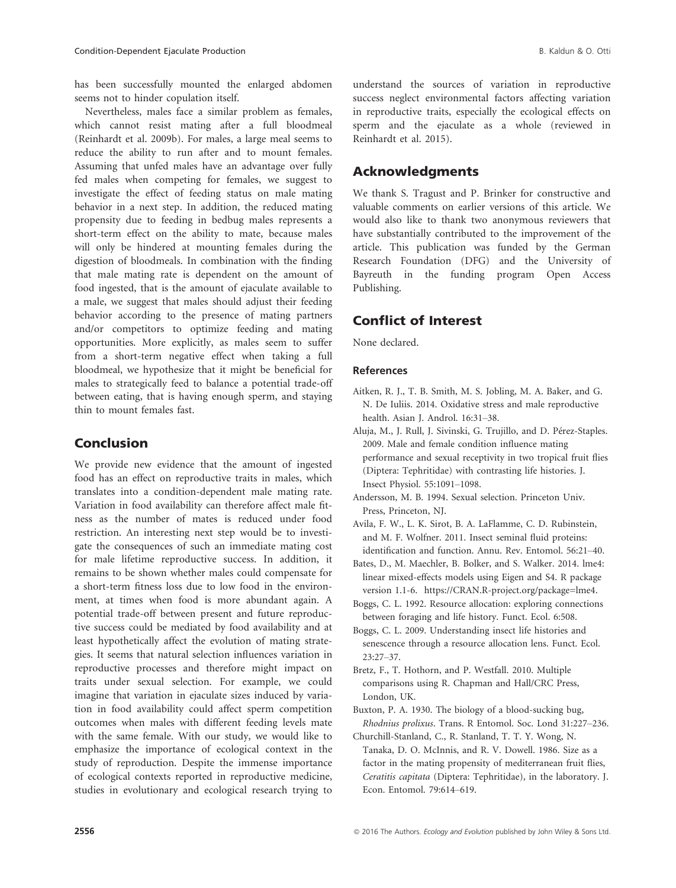has been successfully mounted the enlarged abdomen seems not to hinder copulation itself.

Nevertheless, males face a similar problem as females, which cannot resist mating after a full bloodmeal (Reinhardt et al. 2009b). For males, a large meal seems to reduce the ability to run after and to mount females. Assuming that unfed males have an advantage over fully fed males when competing for females, we suggest to investigate the effect of feeding status on male mating behavior in a next step. In addition, the reduced mating propensity due to feeding in bedbug males represents a short-term effect on the ability to mate, because males will only be hindered at mounting females during the digestion of bloodmeals. In combination with the finding that male mating rate is dependent on the amount of food ingested, that is the amount of ejaculate available to a male, we suggest that males should adjust their feeding behavior according to the presence of mating partners and/or competitors to optimize feeding and mating opportunities. More explicitly, as males seem to suffer from a short-term negative effect when taking a full bloodmeal, we hypothesize that it might be beneficial for males to strategically feed to balance a potential trade-off between eating, that is having enough sperm, and staying thin to mount females fast.

## Conclusion

We provide new evidence that the amount of ingested food has an effect on reproductive traits in males, which translates into a condition-dependent male mating rate. Variation in food availability can therefore affect male fitness as the number of mates is reduced under food restriction. An interesting next step would be to investigate the consequences of such an immediate mating cost for male lifetime reproductive success. In addition, it remains to be shown whether males could compensate for a short-term fitness loss due to low food in the environment, at times when food is more abundant again. A potential trade-off between present and future reproductive success could be mediated by food availability and at least hypothetically affect the evolution of mating strategies. It seems that natural selection influences variation in reproductive processes and therefore might impact on traits under sexual selection. For example, we could imagine that variation in ejaculate sizes induced by variation in food availability could affect sperm competition outcomes when males with different feeding levels mate with the same female. With our study, we would like to emphasize the importance of ecological context in the study of reproduction. Despite the immense importance of ecological contexts reported in reproductive medicine, studies in evolutionary and ecological research trying to understand the sources of variation in reproductive success neglect environmental factors affecting variation in reproductive traits, especially the ecological effects on sperm and the ejaculate as a whole (reviewed in Reinhardt et al. 2015).

## Acknowledgments

We thank S. Tragust and P. Brinker for constructive and valuable comments on earlier versions of this article. We would also like to thank two anonymous reviewers that have substantially contributed to the improvement of the article. This publication was funded by the German Research Foundation (DFG) and the University of Bayreuth in the funding program Open Access Publishing.

## Conflict of Interest

None declared.

#### References

- Aitken, R. J., T. B. Smith, M. S. Jobling, M. A. Baker, and G. N. De Iuliis. 2014. Oxidative stress and male reproductive health. Asian J. Androl. 16:31–38.
- Aluja, M., J. Rull, J. Sivinski, G. Trujillo, and D. Pérez-Staples. 2009. Male and female condition influence mating performance and sexual receptivity in two tropical fruit flies (Diptera: Tephritidae) with contrasting life histories. J. Insect Physiol. 55:1091–1098.
- Andersson, M. B. 1994. Sexual selection. Princeton Univ. Press, Princeton, NJ.
- Avila, F. W., L. K. Sirot, B. A. LaFlamme, C. D. Rubinstein, and M. F. Wolfner. 2011. Insect seminal fluid proteins: identification and function. Annu. Rev. Entomol. 56:21–40.
- Bates, D., M. Maechler, B. Bolker, and S. Walker. 2014. lme4: linear mixed-effects models using Eigen and S4. R package version 1.1-6. [https://CRAN.R-project.org/package=lme4.](https://CRAN.R-project.org/package=lme4)
- Boggs, C. L. 1992. Resource allocation: exploring connections between foraging and life history. Funct. Ecol. 6:508.
- Boggs, C. L. 2009. Understanding insect life histories and senescence through a resource allocation lens. Funct. Ecol. 23:27–37.
- Bretz, F., T. Hothorn, and P. Westfall. 2010. Multiple comparisons using R. Chapman and Hall/CRC Press, London, UK.
- Buxton, P. A. 1930. The biology of a blood-sucking bug, Rhodnius prolixus. Trans. R Entomol. Soc. Lond 31:227–236.
- Churchill-Stanland, C., R. Stanland, T. T. Y. Wong, N. Tanaka, D. O. McInnis, and R. V. Dowell. 1986. Size as a factor in the mating propensity of mediterranean fruit flies, Ceratitis capitata (Diptera: Tephritidae), in the laboratory. J. Econ. Entomol. 79:614–619.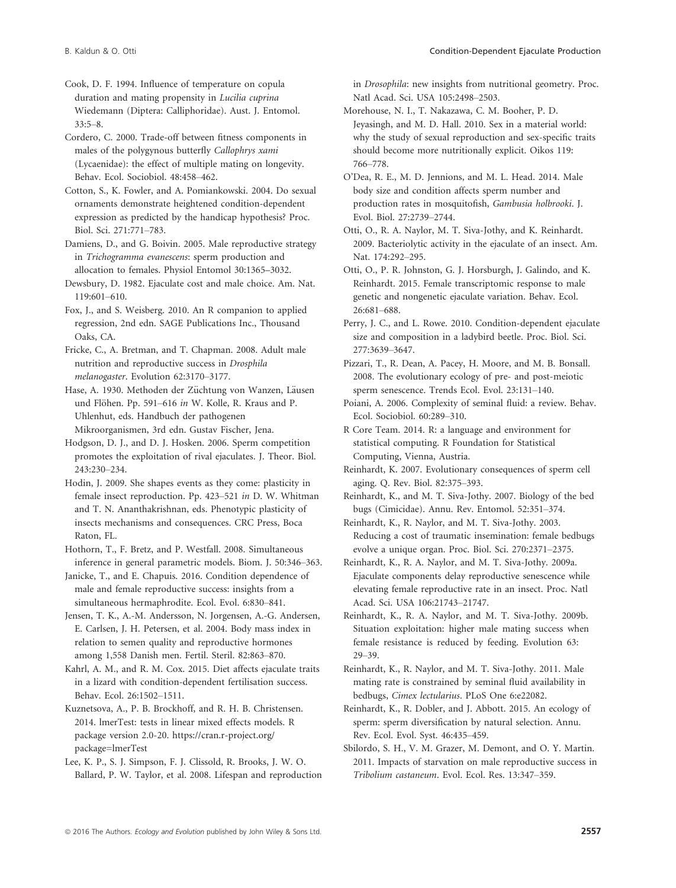- Cook, D. F. 1994. Influence of temperature on copula duration and mating propensity in Lucilia cuprina Wiedemann (Diptera: Calliphoridae). Aust. J. Entomol. 33:5–8.
- Cordero, C. 2000. Trade-off between fitness components in males of the polygynous butterfly Callophrys xami (Lycaenidae): the effect of multiple mating on longevity. Behav. Ecol. Sociobiol. 48:458–462.
- Cotton, S., K. Fowler, and A. Pomiankowski. 2004. Do sexual ornaments demonstrate heightened condition-dependent expression as predicted by the handicap hypothesis? Proc. Biol. Sci. 271:771–783.
- Damiens, D., and G. Boivin. 2005. Male reproductive strategy in Trichogramma evanescens: sperm production and allocation to females. Physiol Entomol 30:1365–3032.
- Dewsbury, D. 1982. Ejaculate cost and male choice. Am. Nat. 119:601–610.
- Fox, J., and S. Weisberg. 2010. An R companion to applied regression, 2nd edn. SAGE Publications Inc., Thousand Oaks, CA.
- Fricke, C., A. Bretman, and T. Chapman. 2008. Adult male nutrition and reproductive success in Drosphila melanogaster. Evolution 62:3170–3177.
- Hase, A. 1930. Methoden der Züchtung von Wanzen, Läusen und Flöhen. Pp. 591-616 in W. Kolle, R. Kraus and P. Uhlenhut, eds. Handbuch der pathogenen Mikroorganismen, 3rd edn. Gustav Fischer, Jena.
- Hodgson, D. J., and D. J. Hosken. 2006. Sperm competition promotes the exploitation of rival ejaculates. J. Theor. Biol. 243:230–234.
- Hodin, J. 2009. She shapes events as they come: plasticity in female insect reproduction. Pp. 423–521 in D. W. Whitman and T. N. Ananthakrishnan, eds. Phenotypic plasticity of insects mechanisms and consequences. CRC Press, Boca Raton, FL.
- Hothorn, T., F. Bretz, and P. Westfall. 2008. Simultaneous inference in general parametric models. Biom. J. 50:346–363.
- Janicke, T., and E. Chapuis. 2016. Condition dependence of male and female reproductive success: insights from a simultaneous hermaphrodite. Ecol. Evol. 6:830–841.
- Jensen, T. K., A.-M. Andersson, N. Jorgensen, A.-G. Andersen, E. Carlsen, J. H. Petersen, et al. 2004. Body mass index in relation to semen quality and reproductive hormones among 1,558 Danish men. Fertil. Steril. 82:863–870.
- Kahrl, A. M., and R. M. Cox. 2015. Diet affects ejaculate traits in a lizard with condition-dependent fertilisation success. Behav. Ecol. 26:1502–1511.
- Kuznetsova, A., P. B. Brockhoff, and R. H. B. Christensen. 2014. lmerTest: tests in linear mixed effects models. R package version 2.0-20. [https://cran.r-project.org/](https://cran.r-project.org/package=lmerTest) [package=lmerTest](https://cran.r-project.org/package=lmerTest)
- Lee, K. P., S. J. Simpson, F. J. Clissold, R. Brooks, J. W. O. Ballard, P. W. Taylor, et al. 2008. Lifespan and reproduction

in Drosophila: new insights from nutritional geometry. Proc. Natl Acad. Sci. USA 105:2498–2503.

- Morehouse, N. I., T. Nakazawa, C. M. Booher, P. D. Jeyasingh, and M. D. Hall. 2010. Sex in a material world: why the study of sexual reproduction and sex-specific traits should become more nutritionally explicit. Oikos 119: 766–778.
- O'Dea, R. E., M. D. Jennions, and M. L. Head. 2014. Male body size and condition affects sperm number and production rates in mosquitofish, Gambusia holbrooki. J. Evol. Biol. 27:2739–2744.
- Otti, O., R. A. Naylor, M. T. Siva-Jothy, and K. Reinhardt. 2009. Bacteriolytic activity in the ejaculate of an insect. Am. Nat. 174:292–295.
- Otti, O., P. R. Johnston, G. J. Horsburgh, J. Galindo, and K. Reinhardt. 2015. Female transcriptomic response to male genetic and nongenetic ejaculate variation. Behav. Ecol. 26:681–688.
- Perry, J. C., and L. Rowe. 2010. Condition-dependent ejaculate size and composition in a ladybird beetle. Proc. Biol. Sci. 277:3639–3647.
- Pizzari, T., R. Dean, A. Pacey, H. Moore, and M. B. Bonsall. 2008. The evolutionary ecology of pre- and post-meiotic sperm senescence. Trends Ecol. Evol. 23:131–140.
- Poiani, A. 2006. Complexity of seminal fluid: a review. Behav. Ecol. Sociobiol. 60:289–310.
- R Core Team. 2014. R: a language and environment for statistical computing. R Foundation for Statistical Computing, Vienna, Austria.
- Reinhardt, K. 2007. Evolutionary consequences of sperm cell aging. Q. Rev. Biol. 82:375–393.
- Reinhardt, K., and M. T. Siva-Jothy. 2007. Biology of the bed bugs (Cimicidae). Annu. Rev. Entomol. 52:351–374.
- Reinhardt, K., R. Naylor, and M. T. Siva-Jothy. 2003. Reducing a cost of traumatic insemination: female bedbugs evolve a unique organ. Proc. Biol. Sci. 270:2371–2375.
- Reinhardt, K., R. A. Naylor, and M. T. Siva-Jothy. 2009a. Ejaculate components delay reproductive senescence while elevating female reproductive rate in an insect. Proc. Natl Acad. Sci. USA 106:21743–21747.
- Reinhardt, K., R. A. Naylor, and M. T. Siva-Jothy. 2009b. Situation exploitation: higher male mating success when female resistance is reduced by feeding. Evolution 63: 29–39.
- Reinhardt, K., R. Naylor, and M. T. Siva-Jothy. 2011. Male mating rate is constrained by seminal fluid availability in bedbugs, Cimex lectularius. PLoS One 6:e22082.
- Reinhardt, K., R. Dobler, and J. Abbott. 2015. An ecology of sperm: sperm diversification by natural selection. Annu. Rev. Ecol. Evol. Syst. 46:435–459.
- Sbilordo, S. H., V. M. Grazer, M. Demont, and O. Y. Martin. 2011. Impacts of starvation on male reproductive success in Tribolium castaneum. Evol. Ecol. Res. 13:347–359.